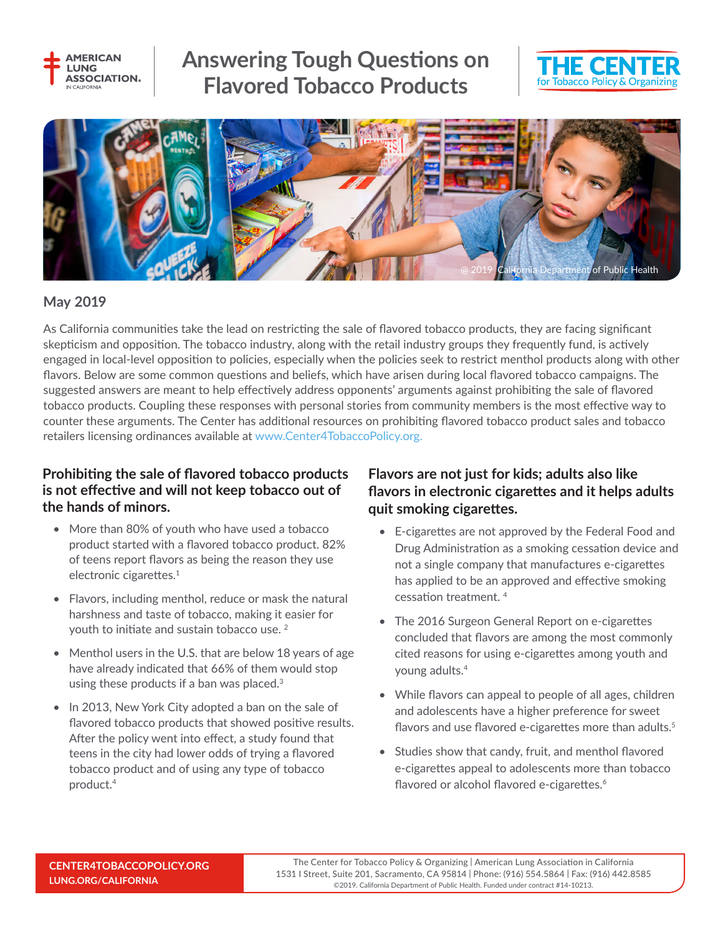

# **Answering Tough Questions on Flavored Tobacco Products**





#### **May 2019**

As California communities take the lead on restricting the sale of flavored tobacco products, they are facing significant skepticism and opposition. The tobacco industry, along with the retail industry groups they frequently fund, is actively engaged in local-level opposition to policies, especially when the policies seek to restrict menthol products along with other flavors. Below are some common questions and beliefs, which have arisen during local flavored tobacco campaigns. The suggested answers are meant to help effectively address opponents' arguments against prohibiting the sale of flavored tobacco products. Coupling these responses with personal stories from community members is the most effective way to counter these arguments. The Center has additional resources on prohibiting flavored tobacco product sales and tobacco retailers licensing ordinances available at www.Center4TobaccoPolicy.org.

## **Prohibiting the sale of flavored tobacco products is not effective and will not keep tobacco out of the hands of minors.**

- More than 80% of youth who have used a tobacco product started with a flavored tobacco product. 82% of teens report flavors as being the reason they use electronic cigarettes.<sup>1</sup>
- Flavors, including menthol, reduce or mask the natural harshness and taste of tobacco, making it easier for youth to initiate and sustain tobacco use. 2
- Menthol users in the U.S. that are below 18 years of age have already indicated that 66% of them would stop using these products if a ban was placed. $3$
- In 2013, New York City adopted a ban on the sale of flavored tobacco products that showed positive results. After the policy went into effect, a study found that teens in the city had lower odds of trying a flavored tobacco product and of using any type of tobacco product.4

## **Flavors are not just for kids; adults also like flavors in electronic cigarettes and it helps adults quit smoking cigarettes.**

- E-cigarettes are not approved by the Federal Food and Drug Administration as a smoking cessation device and not a single company that manufactures e-cigarettes has applied to be an approved and effective smoking cessation treatment. 4
- The 2016 Surgeon General Report on e-cigarettes concluded that flavors are among the most commonly cited reasons for using e-cigarettes among youth and young adults.4
- While flavors can appeal to people of all ages, children and adolescents have a higher preference for sweet flavors and use flavored e-cigarettes more than adults.<sup>5</sup>
- Studies show that candy, fruit, and menthol flavored e-cigarettes appeal to adolescents more than tobacco flavored or alcohol flavored e-cigarettes.<sup>6</sup>

The Center for Tobacco Policy & Organizing | American Lung Association in California 1531 I Street, Suite 201, Sacramento, CA 95814 | Phone: (916) 554.5864 | Fax: (916) 442.8585 ©2019. California Department of Public Health. Funded under contract #14-10213.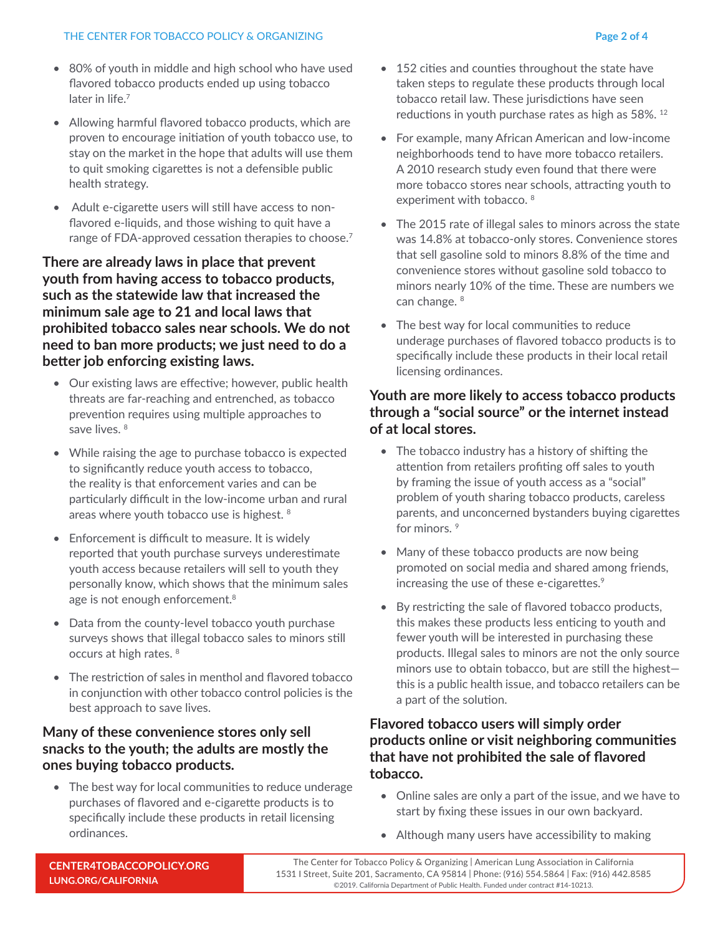- 80% of youth in middle and high school who have used flavored tobacco products ended up using tobacco later in life.<sup>7</sup>
- Allowing harmful flavored tobacco products, which are proven to encourage initiation of youth tobacco use, to stay on the market in the hope that adults will use them to quit smoking cigarettes is not a defensible public health strategy.
- Adult e-cigarette users will still have access to nonflavored e-liquids, and those wishing to quit have a range of FDA-approved cessation therapies to choose.<sup>7</sup>

### **There are already laws in place that prevent youth from having access to tobacco products, such as the statewide law that increased the minimum sale age to 21 and local laws that prohibited tobacco sales near schools. We do not need to ban more products; we just need to do a better job enforcing existing laws.**

- Our existing laws are effective; however, public health threats are far-reaching and entrenched, as tobacco prevention requires using multiple approaches to save lives.<sup>8</sup>
- While raising the age to purchase tobacco is expected to significantly reduce youth access to tobacco, the reality is that enforcement varies and can be particularly difficult in the low-income urban and rural areas where youth tobacco use is highest. <sup>8</sup>
- Enforcement is difficult to measure. It is widely reported that youth purchase surveys underestimate youth access because retailers will sell to youth they personally know, which shows that the minimum sales age is not enough enforcement.<sup>8</sup>
- Data from the county-level tobacco youth purchase surveys shows that illegal tobacco sales to minors still occurs at high rates. 8
- The restriction of sales in menthol and flavored tobacco in conjunction with other tobacco control policies is the best approach to save lives.

## **Many of these convenience stores only sell snacks to the youth; the adults are mostly the ones buying tobacco products.**

• The best way for local communities to reduce underage purchases of flavored and e-cigarette products is to specifically include these products in retail licensing ordinances.

- 152 cities and counties throughout the state have taken steps to regulate these products through local tobacco retail law. These jurisdictions have seen reductions in youth purchase rates as high as 58%. 12
- For example, many African American and low-income neighborhoods tend to have more tobacco retailers. A 2010 research study even found that there were more tobacco stores near schools, attracting youth to experiment with tobacco. 8
- The 2015 rate of illegal sales to minors across the state was 14.8% at tobacco-only stores. Convenience stores that sell gasoline sold to minors 8.8% of the time and convenience stores without gasoline sold tobacco to minors nearly 10% of the time. These are numbers we can change. 8
- The best way for local communities to reduce underage purchases of flavored tobacco products is to specifically include these products in their local retail licensing ordinances.

## **Youth are more likely to access tobacco products through a "social source" or the internet instead of at local stores.**

- The tobacco industry has a history of shifting the attention from retailers profiting off sales to youth by framing the issue of youth access as a "social" problem of youth sharing tobacco products, careless parents, and unconcerned bystanders buying cigarettes for minors.<sup>9</sup>
- Many of these tobacco products are now being promoted on social media and shared among friends, increasing the use of these e-cigarettes.<sup>9</sup>
- By restricting the sale of flavored tobacco products, this makes these products less enticing to youth and fewer youth will be interested in purchasing these products. Illegal sales to minors are not the only source minors use to obtain tobacco, but are still the highest this is a public health issue, and tobacco retailers can be a part of the solution.

## **Flavored tobacco users will simply order products online or visit neighboring communities that have not prohibited the sale of flavored tobacco.**

- Online sales are only a part of the issue, and we have to start by fixing these issues in our own backyard.
- Although many users have accessibility to making

The Center for Tobacco Policy & Organizing | American Lung Association in California 1531 I Street, Suite 201, Sacramento, CA 95814 | Phone: (916) 554.5864 | Fax: (916) 442.8585 ©2019. California Department of Public Health. Funded under contract #14-10213.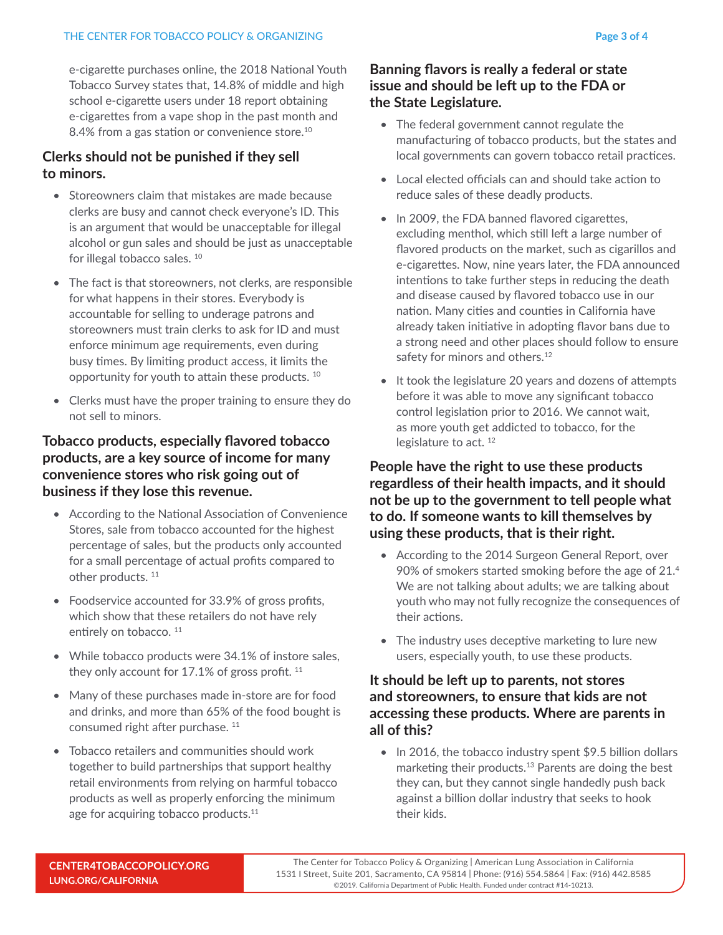e-cigarette purchases online, the 2018 National Youth Tobacco Survey states that, 14.8% of middle and high school e-cigarette users under 18 report obtaining e-cigarettes from a vape shop in the past month and 8.4% from a gas station or convenience store.<sup>10</sup>

## **Clerks should not be punished if they sell to minors.**

- Storeowners claim that mistakes are made because clerks are busy and cannot check everyone's ID. This is an argument that would be unacceptable for illegal alcohol or gun sales and should be just as unacceptable for illegal tobacco sales.<sup>10</sup>
- The fact is that storeowners, not clerks, are responsible for what happens in their stores. Everybody is accountable for selling to underage patrons and storeowners must train clerks to ask for ID and must enforce minimum age requirements, even during busy times. By limiting product access, it limits the opportunity for youth to attain these products. 10
- Clerks must have the proper training to ensure they do not sell to minors.

## **Tobacco products, especially flavored tobacco products, are a key source of income for many convenience stores who risk going out of business if they lose this revenue.**

- According to the National Association of Convenience Stores, sale from tobacco accounted for the highest percentage of sales, but the products only accounted for a small percentage of actual profits compared to other products.<sup>11</sup>
- Foodservice accounted for 33.9% of gross profits, which show that these retailers do not have rely entirely on tobacco.<sup>11</sup>
- While tobacco products were 34.1% of instore sales, they only account for  $17.1\%$  of gross profit.  $11$
- Many of these purchases made in-store are for food and drinks, and more than 65% of the food bought is consumed right after purchase.<sup>11</sup>
- Tobacco retailers and communities should work together to build partnerships that support healthy retail environments from relying on harmful tobacco products as well as properly enforcing the minimum age for acquiring tobacco products.<sup>11</sup>

## **Banning flavors is really a federal or state issue and should be left up to the FDA or the State Legislature.**

- The federal government cannot regulate the manufacturing of tobacco products, but the states and local governments can govern tobacco retail practices.
- Local elected officials can and should take action to reduce sales of these deadly products.
- In 2009, the FDA banned flavored cigarettes, excluding menthol, which still left a large number of flavored products on the market, such as cigarillos and e-cigarettes. Now, nine years later, the FDA announced intentions to take further steps in reducing the death and disease caused by flavored tobacco use in our nation. Many cities and counties in California have already taken initiative in adopting flavor bans due to a strong need and other places should follow to ensure safety for minors and others.<sup>12</sup>
- It took the legislature 20 years and dozens of attempts before it was able to move any significant tobacco control legislation prior to 2016. We cannot wait, as more youth get addicted to tobacco, for the legislature to act.<sup>12</sup>

## **People have the right to use these products regardless of their health impacts, and it should not be up to the government to tell people what to do. If someone wants to kill themselves by using these products, that is their right.**

- According to the 2014 Surgeon General Report, over 90% of smokers started smoking before the age of 21.4 We are not talking about adults; we are talking about youth who may not fully recognize the consequences of their actions.
- The industry uses deceptive marketing to lure new users, especially youth, to use these products.

#### **It should be left up to parents, not stores and storeowners, to ensure that kids are not accessing these products. Where are parents in all of this?**

• In 2016, the tobacco industry spent \$9.5 billion dollars marketing their products.13 Parents are doing the best they can, but they cannot single handedly push back against a billion dollar industry that seeks to hook their kids.